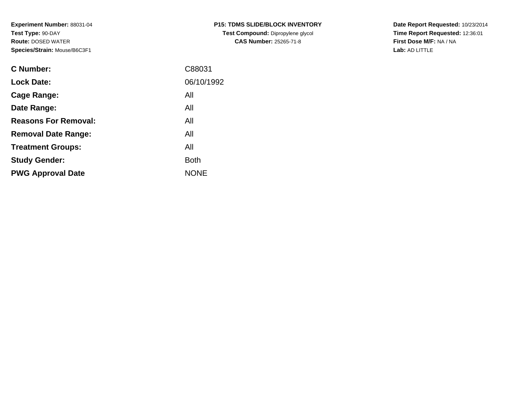**Experiment Number:** 88031-04**Test Type:** 90-DAY **Route:** DOSED WATER**Species/Strain:** Mouse/B6C3F1

| <b>C Number:</b>            | C88031      |
|-----------------------------|-------------|
| <b>Lock Date:</b>           | 06/10/1992  |
| <b>Cage Range:</b>          | All         |
| Date Range:                 | All         |
| <b>Reasons For Removal:</b> | All         |
| <b>Removal Date Range:</b>  | All         |
| <b>Treatment Groups:</b>    | All         |
| <b>Study Gender:</b>        | <b>Both</b> |
| <b>PWG Approval Date</b>    | <b>NONE</b> |
|                             |             |

**Date Report Requested:** 10/23/2014 **Time Report Requested:** 12:36:01**First Dose M/F:** NA / NA**Lab:** AD LITTLE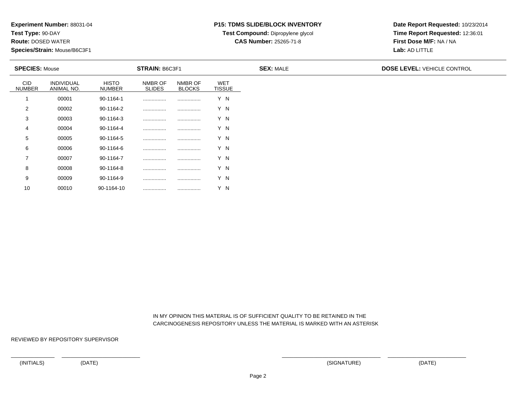**Test Type:** 90-DAY

10

**Route:** DOSED WATER

**Species/Strain:** Mouse/B6C3F1

# **P15: TDMS SLIDE/BLOCK INVENTORY**

**Test Compound:** Dipropylene glycol

**CAS Number:** 25265-71-8

**Date Report Requested:** 10/23/2014**Time Report Requested:** 12:36:01**First Dose M/F:** NA / NA**Lab:** AD LITTLE

| <b>SPECIES: Mouse</b>       |                          |                        | <b>STRAIN: B6C3F1</b>    |                          |                             | <b>SEX: MALE</b> | <b>DOSE LEVEL: VEHICLE CONTROL</b> |
|-----------------------------|--------------------------|------------------------|--------------------------|--------------------------|-----------------------------|------------------|------------------------------------|
| <b>CID</b><br><b>NUMBER</b> | INDIVIDUAL<br>ANIMAL NO. | <b>HISTO</b><br>NUMBER | NMBR OF<br><b>SLIDES</b> | NMBR OF<br><b>BLOCKS</b> | <b>WET</b><br><b>TISSUE</b> |                  |                                    |
|                             | 00001                    | 90-1164-1              |                          |                          | Y N                         |                  |                                    |
| 2                           | 00002                    | 90-1164-2              |                          |                          | Y N                         |                  |                                    |
| 3                           | 00003                    | 90-1164-3              |                          |                          | Y N                         |                  |                                    |
| 4                           | 00004                    | 90-1164-4              |                          |                          | Y N                         |                  |                                    |
| 5                           | 00005                    | 90-1164-5              |                          |                          | Y N                         |                  |                                    |
| 6                           | 00006                    | 90-1164-6              |                          |                          | Y N                         |                  |                                    |
| $\overline{7}$              | 00007                    | 90-1164-7              |                          |                          | Y N                         |                  |                                    |
| 8                           | 00008                    | 90-1164-8              |                          |                          | Y N                         |                  |                                    |
| 9                           | 00009                    | 90-1164-9              |                          |                          | Y N                         |                  |                                    |

 IN MY OPINION THIS MATERIAL IS OF SUFFICIENT QUALITY TO BE RETAINED IN THECARCINOGENESIS REPOSITORY UNLESS THE MATERIAL IS MARKED WITH AN ASTERISK

REVIEWED BY REPOSITORY SUPERVISOR

<sup>00010</sup> 90-1164-10 ................ ................ Y N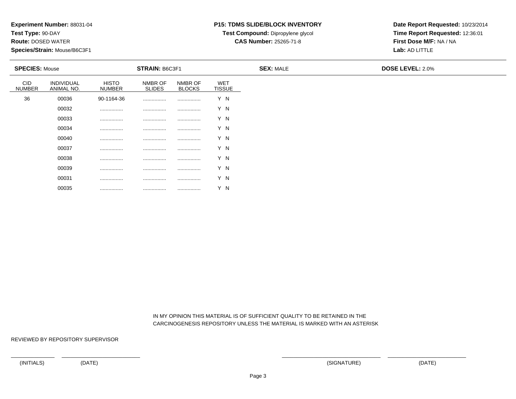**Test Type:** 90-DAY

**Route:** DOSED WATER

**Species/Strain:** Mouse/B6C3F1

## **P15: TDMS SLIDE/BLOCK INVENTORY**

**Test Compound:** Dipropylene glycol **CAS Number:** 25265-71-8

**Date Report Requested:** 10/23/2014**Time Report Requested:** 12:36:01**First Dose M/F:** NA / NA**Lab:** AD LITTLE

| <b>SPECIES: Mouse</b>       |                          |                               | <b>STRAIN: B6C3F1</b>    |                          |                             | <b>SEX: MALE</b> | <b>DOSE LEVEL: 2.0%</b> |
|-----------------------------|--------------------------|-------------------------------|--------------------------|--------------------------|-----------------------------|------------------|-------------------------|
| <b>CID</b><br><b>NUMBER</b> | INDIVIDUAL<br>ANIMAL NO. | <b>HISTO</b><br><b>NUMBER</b> | NMBR OF<br><b>SLIDES</b> | NMBR OF<br><b>BLOCKS</b> | <b>WET</b><br><b>TISSUE</b> |                  |                         |
| 36                          | 00036                    | 90-1164-36                    | .                        |                          | Y N                         |                  |                         |
|                             | 00032                    |                               |                          | .                        | Y N                         |                  |                         |
|                             | 00033                    | .                             | .                        | .                        | Y N                         |                  |                         |
|                             | 00034                    | .                             | .                        |                          | Y N                         |                  |                         |
|                             | 00040                    |                               |                          |                          | Y N                         |                  |                         |
|                             | 00037                    | .                             |                          |                          | Y N                         |                  |                         |
|                             | 00038                    | .                             | .                        |                          | Y N                         |                  |                         |
|                             | 00039                    |                               |                          |                          | Y N                         |                  |                         |
|                             | 00031                    | .                             | .                        |                          | Y N                         |                  |                         |

 IN MY OPINION THIS MATERIAL IS OF SUFFICIENT QUALITY TO BE RETAINED IN THECARCINOGENESIS REPOSITORY UNLESS THE MATERIAL IS MARKED WITH AN ASTERISK

REVIEWED BY REPOSITORY SUPERVISOR

00035

................ ................ ................ Y N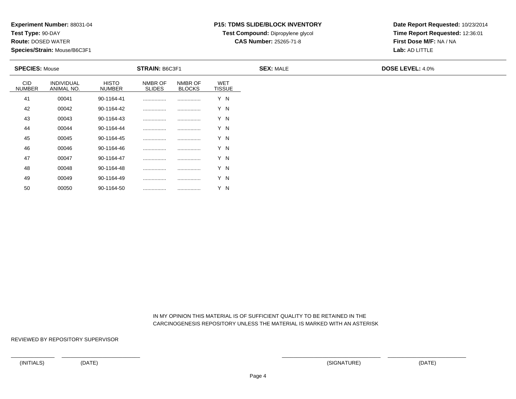**Test Type:** 90-DAY

50

**Route:** DOSED WATER

**Species/Strain:** Mouse/B6C3F1

## **P15: TDMS SLIDE/BLOCK INVENTORY**

**Test Compound:** Dipropylene glycol **CAS Number:** 25265-71-8

**Date Report Requested:** 10/23/2014**Time Report Requested:** 12:36:01**First Dose M/F:** NA / NA**Lab:** AD LITTLE

| <b>SPECIES: Mouse</b>       |                                 |                               | <b>STRAIN: B6C3F1</b>    |                          |                      | <b>SEX: MALE</b> | <b>DOSE LEVEL: 4.0%</b> |
|-----------------------------|---------------------------------|-------------------------------|--------------------------|--------------------------|----------------------|------------------|-------------------------|
| <b>CID</b><br><b>NUMBER</b> | <b>INDIVIDUAL</b><br>ANIMAL NO. | <b>HISTO</b><br><b>NUMBER</b> | NMBR OF<br><b>SLIDES</b> | NMBR OF<br><b>BLOCKS</b> | WET<br><b>TISSUE</b> |                  |                         |
| 41                          | 00041                           | 90-1164-41                    |                          | .                        | Y N                  |                  |                         |
| 42                          | 00042                           | 90-1164-42                    |                          | .                        | Y N                  |                  |                         |
| 43                          | 00043                           | 90-1164-43                    |                          |                          | Y N                  |                  |                         |
| 44                          | 00044                           | 90-1164-44                    |                          | .                        | Y N                  |                  |                         |
| 45                          | 00045                           | 90-1164-45                    |                          |                          | Y N                  |                  |                         |
| 46                          | 00046                           | 90-1164-46                    |                          |                          | Y N                  |                  |                         |
| 47                          | 00047                           | 90-1164-47                    |                          |                          | Y N                  |                  |                         |
| 48                          | 00048                           | 90-1164-48                    |                          |                          | Y N                  |                  |                         |
| 49                          | 00049                           | 90-1164-49                    |                          |                          | Y N                  |                  |                         |

 IN MY OPINION THIS MATERIAL IS OF SUFFICIENT QUALITY TO BE RETAINED IN THECARCINOGENESIS REPOSITORY UNLESS THE MATERIAL IS MARKED WITH AN ASTERISK

REVIEWED BY REPOSITORY SUPERVISOR

<sup>00050</sup> 90-1164-50 ................ ................ Y N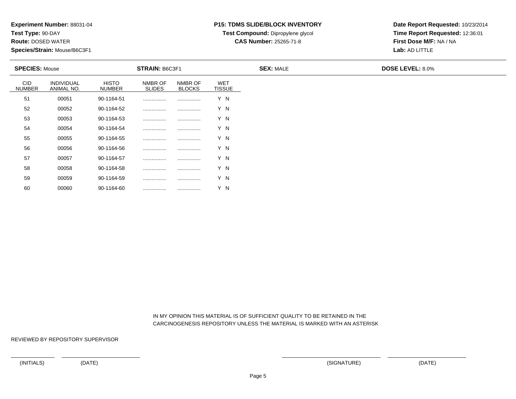**Test Type:** 90-DAY

60

**Route:** DOSED WATER

**Species/Strain:** Mouse/B6C3F1

## **P15: TDMS SLIDE/BLOCK INVENTORY**

**Test Compound:** Dipropylene glycol

**CAS Number:** 25265-71-8

**Date Report Requested:** 10/23/2014**Time Report Requested:** 12:36:01**First Dose M/F:** NA / NA**Lab:** AD LITTLE

| <b>SPECIES: Mouse</b>       |                          |                               | <b>STRAIN: B6C3F1</b>    |                          |                             | <b>SEX: MALE</b> | <b>DOSE LEVEL: 8.0%</b> |
|-----------------------------|--------------------------|-------------------------------|--------------------------|--------------------------|-----------------------------|------------------|-------------------------|
| <b>CID</b><br><b>NUMBER</b> | INDIVIDUAL<br>ANIMAL NO. | <b>HISTO</b><br><b>NUMBER</b> | NMBR OF<br><b>SLIDES</b> | NMBR OF<br><b>BLOCKS</b> | <b>WET</b><br><b>TISSUE</b> |                  |                         |
| 51                          | 00051                    | 90-1164-51                    |                          |                          | Y N                         |                  |                         |
| 52                          | 00052                    | 90-1164-52                    |                          |                          | Y N                         |                  |                         |
| 53                          | 00053                    | 90-1164-53                    |                          |                          | Y N                         |                  |                         |
| 54                          | 00054                    | 90-1164-54                    |                          |                          | Y N                         |                  |                         |
| 55                          | 00055                    | 90-1164-55                    |                          |                          | Y N                         |                  |                         |
| 56                          | 00056                    | 90-1164-56                    |                          |                          | Y N                         |                  |                         |
| 57                          | 00057                    | 90-1164-57                    |                          |                          | Y N                         |                  |                         |
| 58                          | 00058                    | 90-1164-58                    |                          |                          | Y N                         |                  |                         |
| 59                          | 00059                    | 90-1164-59                    |                          |                          | Y N                         |                  |                         |

 IN MY OPINION THIS MATERIAL IS OF SUFFICIENT QUALITY TO BE RETAINED IN THECARCINOGENESIS REPOSITORY UNLESS THE MATERIAL IS MARKED WITH AN ASTERISK

REVIEWED BY REPOSITORY SUPERVISOR

<sup>00060</sup> 90-1164-60 ................ ................ Y N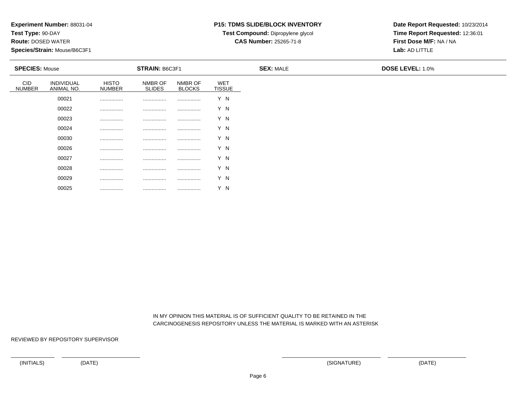**Test Type:** 90-DAY

**Route:** DOSED WATER

**Species/Strain:** Mouse/B6C3F1

## **P15: TDMS SLIDE/BLOCK INVENTORY**

**Test Compound:** Dipropylene glycol **CAS Number:** 25265-71-8

**Date Report Requested:** 10/23/2014**Time Report Requested:** 12:36:01**First Dose M/F:** NA / NA**Lab:** AD LITTLE

| <b>SPECIES: Mouse</b>       |                          |                               | <b>STRAIN: B6C3F1</b>    |                          |                             | <b>SEX: MALE</b> | <b>DOSE LEVEL: 1.0%</b> |
|-----------------------------|--------------------------|-------------------------------|--------------------------|--------------------------|-----------------------------|------------------|-------------------------|
| <b>CID</b><br><b>NUMBER</b> | INDIVIDUAL<br>ANIMAL NO. | <b>HISTO</b><br><b>NUMBER</b> | NMBR OF<br><b>SLIDES</b> | NMBR OF<br><b>BLOCKS</b> | <b>WET</b><br><b>TISSUE</b> |                  |                         |
|                             | 00021                    | .                             | .                        |                          | Y N                         |                  |                         |
|                             | 00022                    | .                             |                          | .                        | Y N                         |                  |                         |
|                             | 00023                    | .                             | .                        | .                        | Y N                         |                  |                         |
|                             | 00024                    | .                             |                          |                          | Y N                         |                  |                         |
|                             | 00030                    | .                             |                          |                          | Y N                         |                  |                         |
|                             | 00026                    | .                             |                          |                          | Y N                         |                  |                         |
|                             | 00027                    | .                             |                          |                          | Y N                         |                  |                         |
|                             | 00028                    | .                             |                          |                          | Y N                         |                  |                         |
|                             | 00029                    | .                             | .                        |                          | Y N                         |                  |                         |

 IN MY OPINION THIS MATERIAL IS OF SUFFICIENT QUALITY TO BE RETAINED IN THECARCINOGENESIS REPOSITORY UNLESS THE MATERIAL IS MARKED WITH AN ASTERISK

REVIEWED BY REPOSITORY SUPERVISOR

00025

................ ................ ................ Y N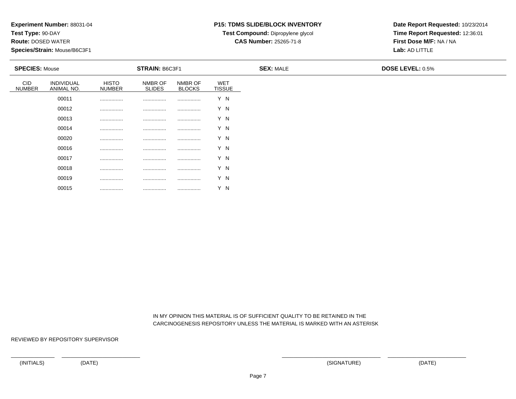**Test Type:** 90-DAY

**Route:** DOSED WATER

**Species/Strain:** Mouse/B6C3F1

## **P15: TDMS SLIDE/BLOCK INVENTORY**

**Test Compound:** Dipropylene glycol **CAS Number:** 25265-71-8

**Date Report Requested:** 10/23/2014**Time Report Requested:** 12:36:01**First Dose M/F:** NA / NA**Lab:** AD LITTLE

| <b>SPECIES: Mouse</b>       |                          |                               | <b>STRAIN: B6C3F1</b>    |                          |                             | <b>SEX: MALE</b> | <b>DOSE LEVEL: 0.5%</b> |
|-----------------------------|--------------------------|-------------------------------|--------------------------|--------------------------|-----------------------------|------------------|-------------------------|
| <b>CID</b><br><b>NUMBER</b> | INDIVIDUAL<br>ANIMAL NO. | <b>HISTO</b><br><b>NUMBER</b> | NMBR OF<br><b>SLIDES</b> | NMBR OF<br><b>BLOCKS</b> | <b>WET</b><br><b>TISSUE</b> |                  |                         |
|                             | 00011                    |                               | .                        |                          | Y N                         |                  |                         |
|                             | 00012                    | .                             |                          |                          | Y N                         |                  |                         |
|                             | 00013                    | .                             |                          |                          | Y N                         |                  |                         |
|                             | 00014                    |                               |                          |                          | Y N                         |                  |                         |
|                             | 00020                    |                               |                          |                          | Y N                         |                  |                         |
|                             | 00016                    |                               |                          |                          | Y N                         |                  |                         |
|                             | 00017                    |                               |                          |                          | Y N                         |                  |                         |
|                             | 00018                    |                               |                          |                          | Y N                         |                  |                         |
|                             | 00019                    |                               |                          |                          | Y N                         |                  |                         |

 IN MY OPINION THIS MATERIAL IS OF SUFFICIENT QUALITY TO BE RETAINED IN THECARCINOGENESIS REPOSITORY UNLESS THE MATERIAL IS MARKED WITH AN ASTERISK

REVIEWED BY REPOSITORY SUPERVISOR

00015

................ ................ ................ Y N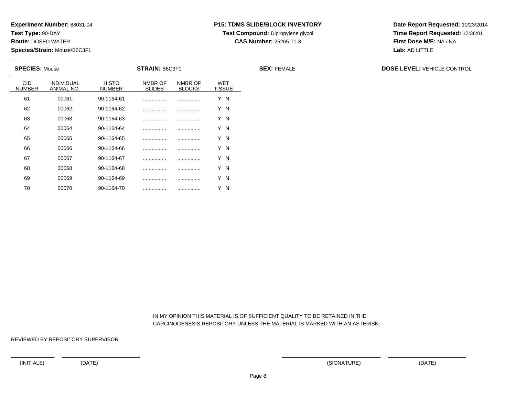**Test Type:** 90-DAY

70

**Route:** DOSED WATER

**Species/Strain:** Mouse/B6C3F1

# **P15: TDMS SLIDE/BLOCK INVENTORY**

**Test Compound:** Dipropylene glycol

**CAS Number:** 25265-71-8

**Date Report Requested:** 10/23/2014**Time Report Requested:** 12:36:01**First Dose M/F:** NA / NA**Lab:** AD LITTLE

| <b>SPECIES: Mouse</b>       |                          |                               | <b>STRAIN: B6C3F1</b>    |                          |                             | <b>SEX: FEMALE</b> | <b>DOSE LEVEL: VEHICLE CONTROL</b> |
|-----------------------------|--------------------------|-------------------------------|--------------------------|--------------------------|-----------------------------|--------------------|------------------------------------|
| <b>CID</b><br><b>NUMBER</b> | INDIVIDUAL<br>ANIMAL NO. | <b>HISTO</b><br><b>NUMBER</b> | NMBR OF<br><b>SLIDES</b> | NMBR OF<br><b>BLOCKS</b> | <b>WET</b><br><b>TISSUE</b> |                    |                                    |
| 61                          | 00061                    | 90-1164-61                    |                          |                          | Y N                         |                    |                                    |
| 62                          | 00062                    | 90-1164-62                    |                          |                          | Y N                         |                    |                                    |
| 63                          | 00063                    | 90-1164-63                    |                          |                          | Y N                         |                    |                                    |
| 64                          | 00064                    | 90-1164-64                    |                          |                          | Y N                         |                    |                                    |
| 65                          | 00065                    | 90-1164-65                    |                          |                          | Y N                         |                    |                                    |
| 66                          | 00066                    | 90-1164-66                    |                          |                          | Y N                         |                    |                                    |
| 67                          | 00067                    | 90-1164-67                    |                          |                          | Y N                         |                    |                                    |
| 68                          | 00068                    | 90-1164-68                    |                          |                          | Y N                         |                    |                                    |
| 69                          | 00069                    | 90-1164-69                    |                          |                          | Y N                         |                    |                                    |

 IN MY OPINION THIS MATERIAL IS OF SUFFICIENT QUALITY TO BE RETAINED IN THECARCINOGENESIS REPOSITORY UNLESS THE MATERIAL IS MARKED WITH AN ASTERISK

REVIEWED BY REPOSITORY SUPERVISOR

<sup>00070</sup> 90-1164-70 ................ ................ Y N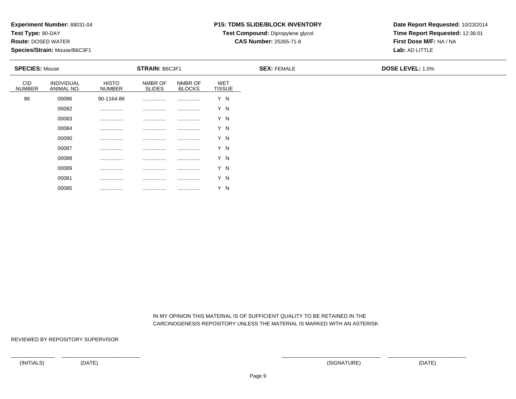**Test Type:** 90-DAY

**Route:** DOSED WATER

**Species/Strain:** Mouse/B6C3F1

## **P15: TDMS SLIDE/BLOCK INVENTORY**

**Test Compound:** Dipropylene glycol **CAS Number:** 25265-71-8

**Date Report Requested:** 10/23/2014**Time Report Requested:** 12:36:01**First Dose M/F:** NA / NA**Lab:** AD LITTLE

| <b>SPECIES: Mouse</b>       |                          |                               | STRAIN: B6C3F1           |                          |                             | <b>SEX: FEMALE</b> | <b>DOSE LEVEL: 1.0%</b> |
|-----------------------------|--------------------------|-------------------------------|--------------------------|--------------------------|-----------------------------|--------------------|-------------------------|
| <b>CID</b><br><b>NUMBER</b> | INDIVIDUAL<br>ANIMAL NO. | <b>HISTO</b><br><b>NUMBER</b> | NMBR OF<br><b>SLIDES</b> | NMBR OF<br><b>BLOCKS</b> | <b>WET</b><br><b>TISSUE</b> |                    |                         |
| 86                          | 00086                    | 90-1164-86                    |                          | .                        | Y N                         |                    |                         |
|                             | 00082                    |                               |                          |                          | Y N                         |                    |                         |
|                             | 00083                    |                               |                          |                          | Y N                         |                    |                         |
|                             | 00084                    |                               |                          |                          | Y N                         |                    |                         |
|                             | 00090                    | .                             |                          |                          | Y N                         |                    |                         |
|                             | 00087                    |                               |                          | .                        | Y N                         |                    |                         |
|                             | 00088                    | .                             |                          |                          | Y N                         |                    |                         |
|                             | 00089                    | .                             |                          | .                        | Y N                         |                    |                         |
|                             | 00081                    | .                             |                          |                          | Y N                         |                    |                         |

 IN MY OPINION THIS MATERIAL IS OF SUFFICIENT QUALITY TO BE RETAINED IN THECARCINOGENESIS REPOSITORY UNLESS THE MATERIAL IS MARKED WITH AN ASTERISK

REVIEWED BY REPOSITORY SUPERVISOR

00085

................ ................ ................ Y N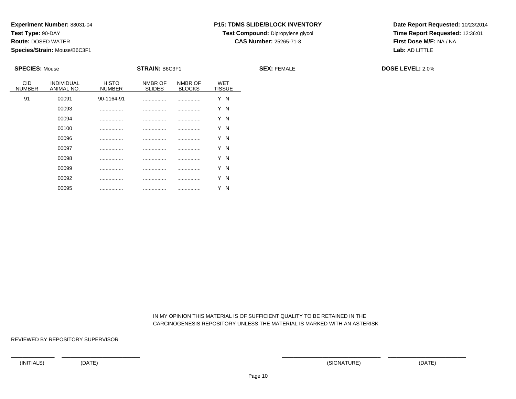**Test Type:** 90-DAY

**Route:** DOSED WATER

**Species/Strain:** Mouse/B6C3F1

## **P15: TDMS SLIDE/BLOCK INVENTORY**

**Test Compound:** Dipropylene glycol **CAS Number:** 25265-71-8

**Date Report Requested:** 10/23/2014**Time Report Requested:** 12:36:01**First Dose M/F:** NA / NA**Lab:** AD LITTLE

| <b>SPECIES: Mouse</b>       |                          |                               | <b>STRAIN: B6C3F1</b>    |                          |                      | <b>SEX: FEMALE</b> | <b>DOSE LEVEL: 2.0%</b> |
|-----------------------------|--------------------------|-------------------------------|--------------------------|--------------------------|----------------------|--------------------|-------------------------|
| <b>CID</b><br><b>NUMBER</b> | INDIVIDUAL<br>ANIMAL NO. | <b>HISTO</b><br><b>NUMBER</b> | NMBR OF<br><b>SLIDES</b> | NMBR OF<br><b>BLOCKS</b> | WET<br><b>TISSUE</b> |                    |                         |
| 91                          | 00091                    | 90-1164-91                    |                          |                          | Y N                  |                    |                         |
|                             | 00093                    |                               |                          |                          | Y N                  |                    |                         |
|                             | 00094                    |                               |                          |                          | Y N                  |                    |                         |
|                             | 00100                    |                               |                          |                          | Y N                  |                    |                         |
|                             | 00096                    |                               |                          |                          | Y N                  |                    |                         |
|                             | 00097                    |                               |                          |                          | Y N                  |                    |                         |
|                             | 00098                    |                               |                          |                          | Y N                  |                    |                         |
|                             | 00099                    |                               |                          |                          | Y N                  |                    |                         |
|                             | 00092                    | .                             | .                        |                          | Y N                  |                    |                         |

 IN MY OPINION THIS MATERIAL IS OF SUFFICIENT QUALITY TO BE RETAINED IN THECARCINOGENESIS REPOSITORY UNLESS THE MATERIAL IS MARKED WITH AN ASTERISK

REVIEWED BY REPOSITORY SUPERVISOR

00095

................ ................ ................ Y N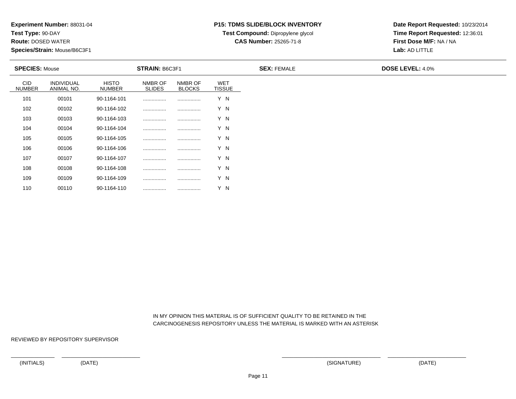**Test Type:** 90-DAY

110

**Route:** DOSED WATER

**Species/Strain:** Mouse/B6C3F1

### **P15: TDMS SLIDE/BLOCK INVENTORY**

**Test Compound:** Dipropylene glycol

**CAS Number:** 25265-71-8

**Date Report Requested:** 10/23/2014**Time Report Requested:** 12:36:01**First Dose M/F:** NA / NA**Lab:** AD LITTLE

| <b>SPECIES: Mouse</b>       |                                 |                        | <b>STRAIN: B6C3F1</b>    |                          |                             | <b>SEX: FEMALE</b> | <b>DOSE LEVEL: 4.0%</b> |
|-----------------------------|---------------------------------|------------------------|--------------------------|--------------------------|-----------------------------|--------------------|-------------------------|
| <b>CID</b><br><b>NUMBER</b> | <b>INDIVIDUAL</b><br>ANIMAL NO. | <b>HISTO</b><br>NUMBER | NMBR OF<br><b>SLIDES</b> | NMBR OF<br><b>BLOCKS</b> | <b>WET</b><br><b>TISSUE</b> |                    |                         |
| 101                         | 00101                           | 90-1164-101            |                          |                          | Y N                         |                    |                         |
| 102                         | 00102                           | 90-1164-102            |                          |                          | Y N                         |                    |                         |
| 103                         | 00103                           | 90-1164-103            |                          |                          | Y N                         |                    |                         |
| 104                         | 00104                           | 90-1164-104            |                          |                          | Y N                         |                    |                         |
| 105                         | 00105                           | 90-1164-105            |                          |                          | Y N                         |                    |                         |
| 106                         | 00106                           | 90-1164-106            |                          |                          | Y N                         |                    |                         |
| 107                         | 00107                           | 90-1164-107            |                          |                          | Y N                         |                    |                         |
| 108                         | 00108                           | 90-1164-108            |                          |                          | Y N                         |                    |                         |
| 109                         | 00109                           | 90-1164-109            |                          |                          | Y N                         |                    |                         |

 IN MY OPINION THIS MATERIAL IS OF SUFFICIENT QUALITY TO BE RETAINED IN THECARCINOGENESIS REPOSITORY UNLESS THE MATERIAL IS MARKED WITH AN ASTERISK

REVIEWED BY REPOSITORY SUPERVISOR

<sup>00110</sup> 90-1164-110 ................ ................ Y N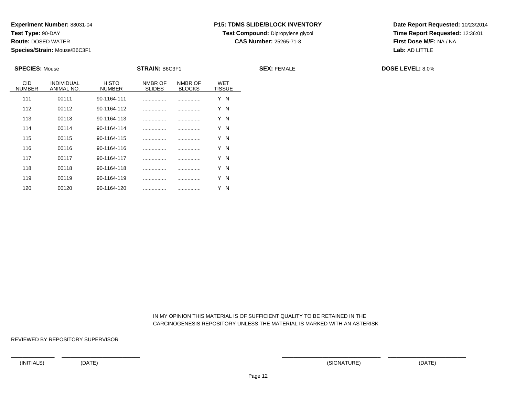**Test Type:** 90-DAY

120

**Route:** DOSED WATER

**Species/Strain:** Mouse/B6C3F1

### **P15: TDMS SLIDE/BLOCK INVENTORY**

**Test Compound:** Dipropylene glycol

**CAS Number:** 25265-71-8

**Date Report Requested:** 10/23/2014**Time Report Requested:** 12:36:01**First Dose M/F:** NA / NA**Lab:** AD LITTLE

| <b>SPECIES: Mouse</b>       |                                 |                        | <b>STRAIN: B6C3F1</b>    |                          |                      | <b>SEX: FEMALE</b> | <b>DOSE LEVEL: 8.0%</b> |
|-----------------------------|---------------------------------|------------------------|--------------------------|--------------------------|----------------------|--------------------|-------------------------|
| <b>CID</b><br><b>NUMBER</b> | <b>INDIVIDUAL</b><br>ANIMAL NO. | <b>HISTO</b><br>NUMBER | NMBR OF<br><b>SLIDES</b> | NMBR OF<br><b>BLOCKS</b> | WET<br><b>TISSUE</b> |                    |                         |
| 111                         | 00111                           | 90-1164-111            |                          | .                        | Y N                  |                    |                         |
| 112                         | 00112                           | 90-1164-112            |                          |                          | Y N                  |                    |                         |
| 113                         | 00113                           | 90-1164-113            |                          |                          | Y N                  |                    |                         |
| 114                         | 00114                           | 90-1164-114            |                          |                          | Y N                  |                    |                         |
| 115                         | 00115                           | 90-1164-115            |                          |                          | Y N                  |                    |                         |
| 116                         | 00116                           | 90-1164-116            |                          |                          | Y N                  |                    |                         |
| 117                         | 00117                           | 90-1164-117            |                          | .                        | Y N                  |                    |                         |
| 118                         | 00118                           | 90-1164-118            |                          | .                        | Y N                  |                    |                         |
| 119                         | 00119                           | 90-1164-119            |                          |                          | Y N                  |                    |                         |

 IN MY OPINION THIS MATERIAL IS OF SUFFICIENT QUALITY TO BE RETAINED IN THECARCINOGENESIS REPOSITORY UNLESS THE MATERIAL IS MARKED WITH AN ASTERISK

REVIEWED BY REPOSITORY SUPERVISOR

<sup>00120</sup> 90-1164-120 ................ ................ Y N